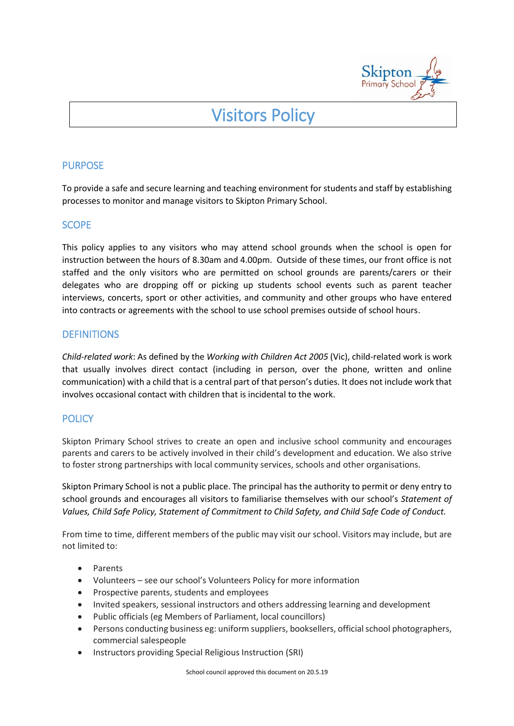

# Visitors Policy

## **PURPOSE**

To provide a safe and secure learning and teaching environment for students and staff by establishing processes to monitor and manage visitors to Skipton Primary School.

# **SCOPE**

This policy applies to any visitors who may attend school grounds when the school is open for instruction between the hours of 8.30am and 4.00pm. Outside of these times, our front office is not staffed and the only visitors who are permitted on school grounds are parents/carers or their delegates who are dropping off or picking up students school events such as parent teacher interviews, concerts, sport or other activities, and community and other groups who have entered into contracts or agreements with the school to use school premises outside of school hours.

# **DEFINITIONS**

*Child-related work*: As defined by the *Working with Children Act 2005* (Vic), child-related work is work that usually involves direct contact (including in person, over the phone, written and online communication) with a child that is a central part of that person's duties. It does not include work that involves occasional contact with children that is incidental to the work.

# **POLICY**

Skipton Primary School strives to create an open and inclusive school community and encourages parents and carers to be actively involved in their child's development and education. We also strive to foster strong partnerships with local community services, schools and other organisations.

Skipton Primary School is not a public place. The principal has the authority to permit or deny entry to school grounds and encourages all visitors to familiarise themselves with our school's *Statement of Values, Child Safe Policy, Statement of Commitment to Child Safety, and Child Safe Code of Conduct.* 

From time to time, different members of the public may visit our school. Visitors may include, but are not limited to:

- Parents
- Volunteers see our school's Volunteers Policy for more information
- Prospective parents, students and employees
- Invited speakers, sessional instructors and others addressing learning and development
- Public officials (eg Members of Parliament, local councillors)
- Persons conducting business eg: uniform suppliers, booksellers, official school photographers, commercial salespeople
- Instructors providing Special Religious Instruction (SRI)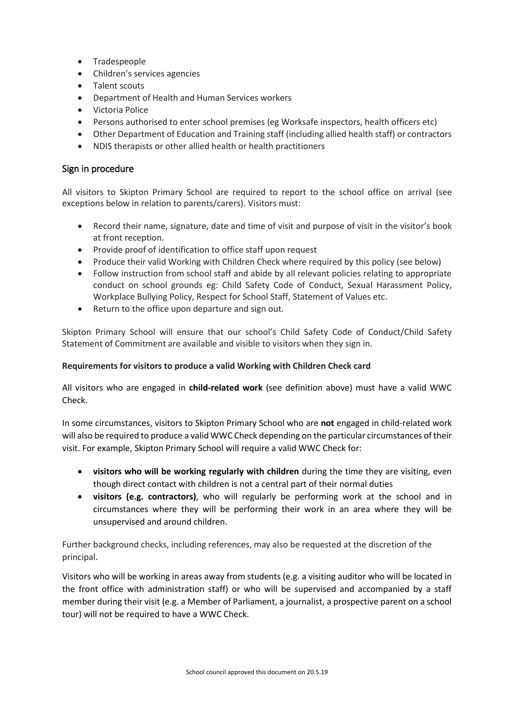- Tradespeople
- Children's services agencies
- Talent scouts
- Department of Health and Human Services workers
- Victoria Police
- Persons authorised to enter school premises (eg Worksafe inspectors, health officers etc)
- Other Department of Education and Training staff (including allied health staff) or contractors
- NDIS therapists or other allied health or health practitioners

## Sign in procedure

All visitors to Skipton Primary School are required to report to the school office on arrival (see exceptions below in relation to parents/carers). Visitors must:

- Record their name, signature, date and time of visit and purpose of visit in the visitor's book at front reception.
- Provide proof of identification to office staff upon request
- Produce their valid Working with Children Check where required by this policy (see below)
- Follow instruction from school staff and abide by all relevant policies relating to appropriate conduct on school grounds eg: Child Safety Code of Conduct, Sexual Harassment Policy, Workplace Bullying Policy, Respect for School Staff, Statement of Values etc.
- Return to the office upon departure and sign out.

Skipton Primary School will ensure that our school's Child Safety Code of Conduct/Child Safety Statement of Commitment are available and visible to visitors when they sign in.

#### **Requirements for visitors to produce a valid Working with Children Check card**

All visitors who are engaged in **child-related work** (see definition above) must have a valid WWC Check.

In some circumstances, visitors to Skipton Primary School who are **not** engaged in child-related work will also be required to produce a valid WWC Check depending on the particular circumstances of their visit. For example, Skipton Primary School will require a valid WWC Check for:

- **visitors who will be working regularly with children** during the time they are visiting, even though direct contact with children is not a central part of their normal duties
- **visitors (e.g. contractors)**, who will regularly be performing work at the school and in circumstances where they will be performing their work in an area where they will be unsupervised and around children.

Further background checks, including references, may also be requested at the discretion of the principal.

Visitors who will be working in areas away from students (e.g. a visiting auditor who will be located in the front office with administration staff) or who will be supervised and accompanied by a staff member during their visit (e.g. a Member of Parliament, a journalist, a prospective parent on a school tour) will not be required to have a WWC Check.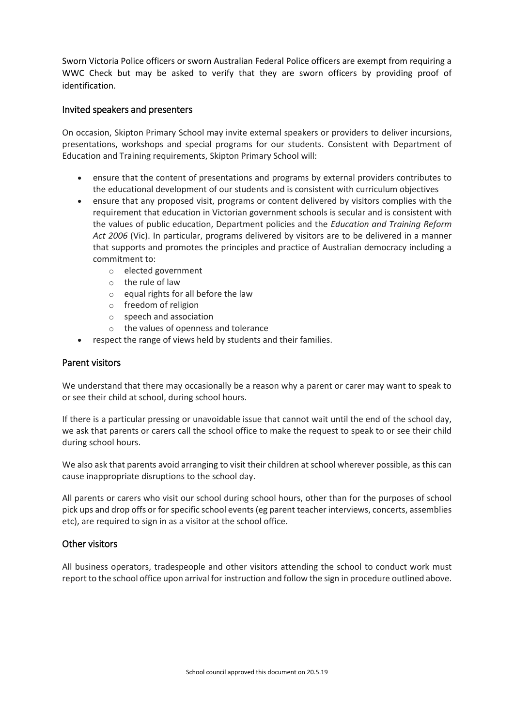Sworn Victoria Police officers or sworn Australian Federal Police officers are exempt from requiring a WWC Check but may be asked to verify that they are sworn officers by providing proof of identification.

## Invited speakers and presenters

On occasion, Skipton Primary School may invite external speakers or providers to deliver incursions, presentations, workshops and special programs for our students. Consistent with Department of Education and Training requirements, Skipton Primary School will:

- ensure that the content of presentations and programs by external providers contributes to the educational development of our students and is consistent with curriculum objectives
- ensure that any proposed visit, programs or content delivered by visitors complies with the requirement that education in Victorian government schools is secular and is consistent with the values of public education, Department policies and the *Education and Training Reform Act 2006* (Vic). In particular, programs delivered by visitors are to be delivered in a manner that supports and promotes the principles and practice of Australian democracy including a commitment to:
	- o elected government
	- o the rule of law
	- o equal rights for all before the law
	- o freedom of religion
	- o speech and association
	- o the values of openness and tolerance
- respect the range of views held by students and their families.

#### Parent visitors

We understand that there may occasionally be a reason why a parent or carer may want to speak to or see their child at school, during school hours.

If there is a particular pressing or unavoidable issue that cannot wait until the end of the school day, we ask that parents or carers call the school office to make the request to speak to or see their child during school hours.

We also ask that parents avoid arranging to visit their children at school wherever possible, as this can cause inappropriate disruptions to the school day.

All parents or carers who visit our school during school hours, other than for the purposes of school pick ups and drop offs or for specific school events (eg parent teacher interviews, concerts, assemblies etc), are required to sign in as a visitor at the school office.

## Other visitors

All business operators, tradespeople and other visitors attending the school to conduct work must report to the school office upon arrival for instruction and follow the sign in procedure outlined above.